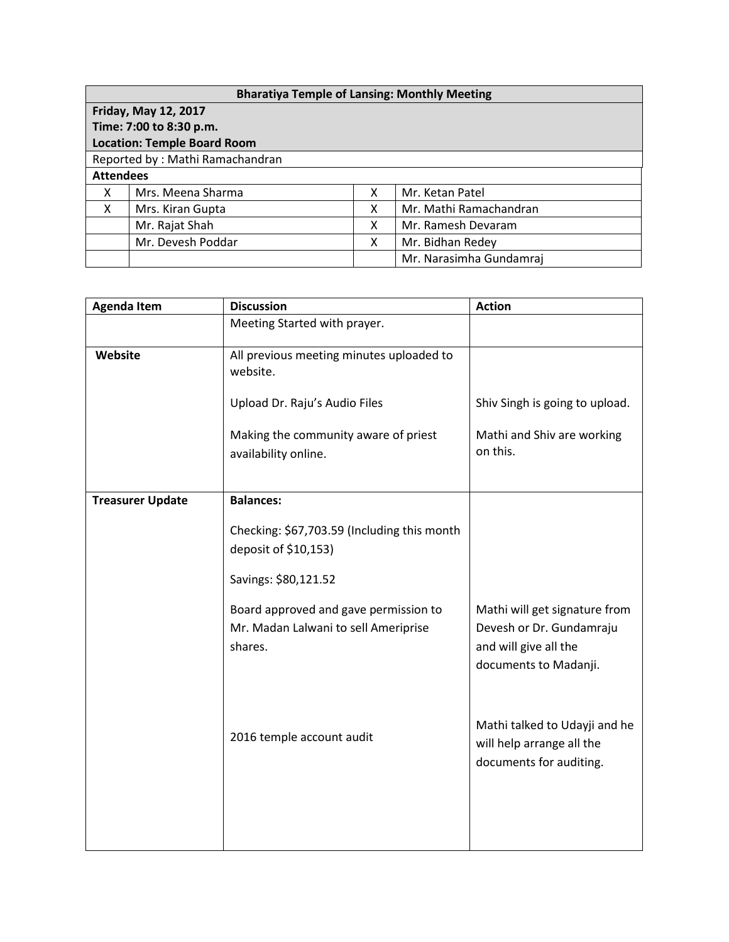| <b>Bharatiya Temple of Lansing: Monthly Meeting</b> |                   |   |                         |  |  |  |
|-----------------------------------------------------|-------------------|---|-------------------------|--|--|--|
| <b>Friday, May 12, 2017</b>                         |                   |   |                         |  |  |  |
| Time: 7:00 to 8:30 p.m.                             |                   |   |                         |  |  |  |
| <b>Location: Temple Board Room</b>                  |                   |   |                         |  |  |  |
| Reported by: Mathi Ramachandran                     |                   |   |                         |  |  |  |
| <b>Attendees</b>                                    |                   |   |                         |  |  |  |
| X                                                   | Mrs. Meena Sharma | x | Mr. Ketan Patel         |  |  |  |
| X                                                   | Mrs. Kiran Gupta  | x | Mr. Mathi Ramachandran  |  |  |  |
|                                                     | Mr. Rajat Shah    | х | Mr. Ramesh Devaram      |  |  |  |
|                                                     | Mr. Devesh Poddar | x | Mr. Bidhan Redey        |  |  |  |
|                                                     |                   |   | Mr. Narasimha Gundamraj |  |  |  |

| <b>Agenda Item</b>      | <b>Discussion</b>                                                                        | <b>Action</b>                                                                                               |
|-------------------------|------------------------------------------------------------------------------------------|-------------------------------------------------------------------------------------------------------------|
|                         | Meeting Started with prayer.                                                             |                                                                                                             |
| Website                 | All previous meeting minutes uploaded to<br>website.                                     |                                                                                                             |
|                         | Upload Dr. Raju's Audio Files                                                            | Shiv Singh is going to upload.                                                                              |
|                         | Making the community aware of priest<br>availability online.                             | Mathi and Shiv are working<br>on this.                                                                      |
| <b>Treasurer Update</b> | <b>Balances:</b>                                                                         |                                                                                                             |
|                         | Checking: \$67,703.59 (Including this month<br>deposit of \$10,153)                      |                                                                                                             |
|                         | Savings: \$80,121.52                                                                     |                                                                                                             |
|                         | Board approved and gave permission to<br>Mr. Madan Lalwani to sell Ameriprise<br>shares. | Mathi will get signature from<br>Devesh or Dr. Gundamraju<br>and will give all the<br>documents to Madanji. |
|                         | 2016 temple account audit                                                                | Mathi talked to Udayji and he<br>will help arrange all the<br>documents for auditing.                       |
|                         |                                                                                          |                                                                                                             |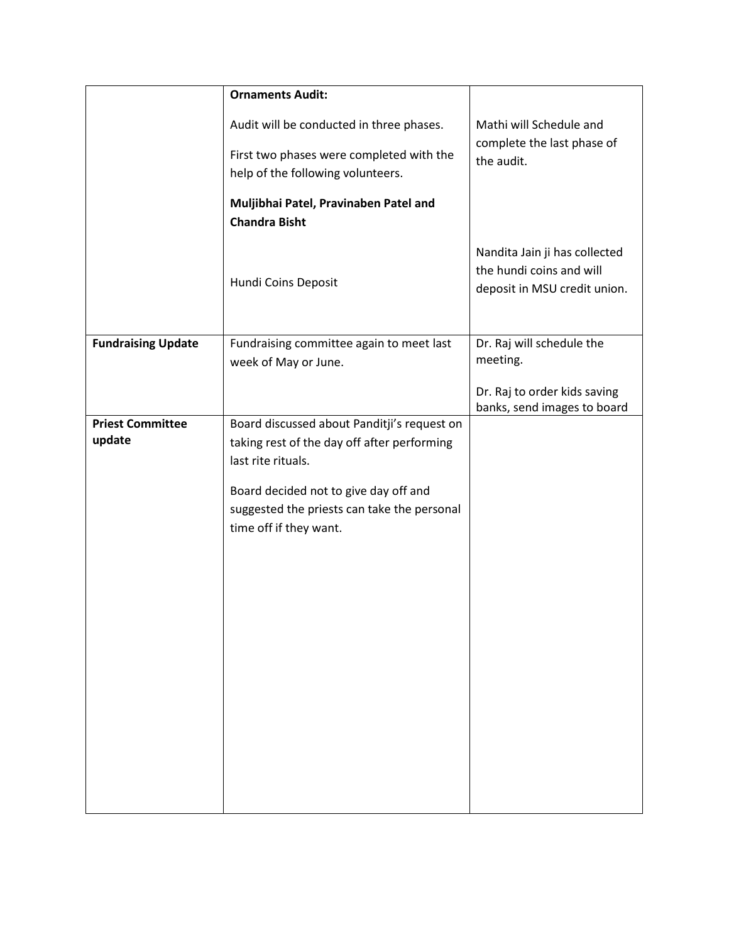|                                   | <b>Ornaments Audit:</b>                                                                                          |                                                                                           |  |
|-----------------------------------|------------------------------------------------------------------------------------------------------------------|-------------------------------------------------------------------------------------------|--|
|                                   | Audit will be conducted in three phases.                                                                         | Mathi will Schedule and<br>complete the last phase of                                     |  |
|                                   | First two phases were completed with the<br>help of the following volunteers.                                    | the audit.                                                                                |  |
|                                   | Muljibhai Patel, Pravinaben Patel and<br><b>Chandra Bisht</b>                                                    |                                                                                           |  |
|                                   | Hundi Coins Deposit                                                                                              | Nandita Jain ji has collected<br>the hundi coins and will<br>deposit in MSU credit union. |  |
| <b>Fundraising Update</b>         | Fundraising committee again to meet last<br>week of May or June.                                                 | Dr. Raj will schedule the<br>meeting.                                                     |  |
|                                   |                                                                                                                  | Dr. Raj to order kids saving<br>banks, send images to board                               |  |
| <b>Priest Committee</b><br>update | Board discussed about Panditji's request on<br>taking rest of the day off after performing<br>last rite rituals. |                                                                                           |  |
|                                   | Board decided not to give day off and<br>suggested the priests can take the personal<br>time off if they want.   |                                                                                           |  |
|                                   |                                                                                                                  |                                                                                           |  |
|                                   |                                                                                                                  |                                                                                           |  |
|                                   |                                                                                                                  |                                                                                           |  |
|                                   |                                                                                                                  |                                                                                           |  |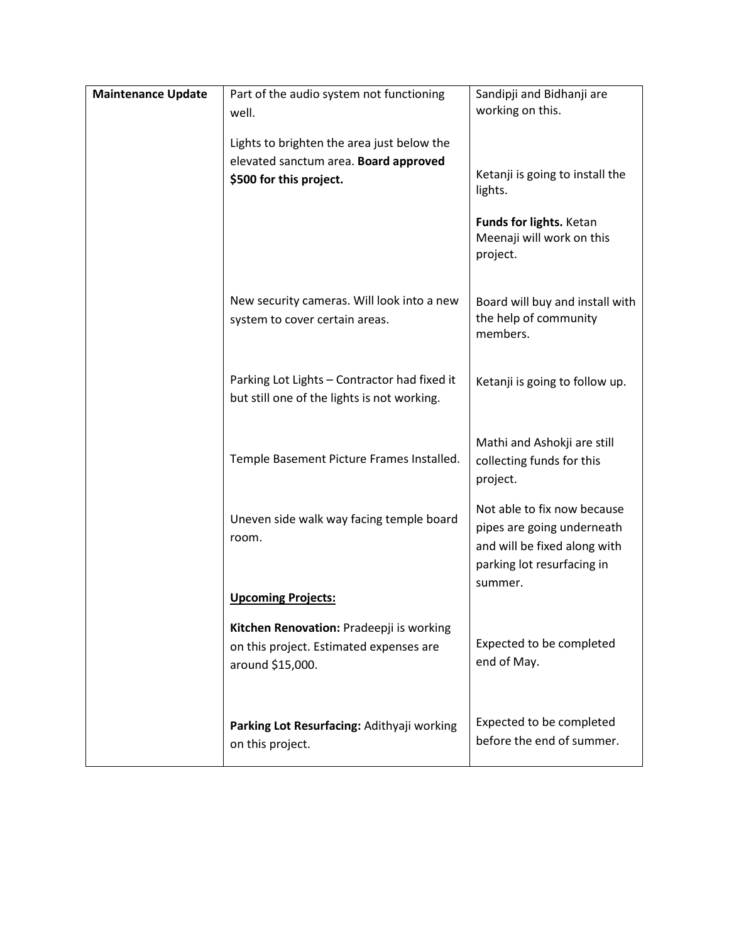| <b>Maintenance Update</b> | Part of the audio system not functioning                                                                | Sandipji and Bidhanji are                                                                                                          |
|---------------------------|---------------------------------------------------------------------------------------------------------|------------------------------------------------------------------------------------------------------------------------------------|
|                           | well.                                                                                                   | working on this.                                                                                                                   |
|                           |                                                                                                         |                                                                                                                                    |
|                           | Lights to brighten the area just below the                                                              |                                                                                                                                    |
|                           | elevated sanctum area. Board approved                                                                   |                                                                                                                                    |
|                           | \$500 for this project.                                                                                 | Ketanji is going to install the<br>lights.                                                                                         |
|                           |                                                                                                         | Funds for lights. Ketan<br>Meenaji will work on this<br>project.                                                                   |
|                           | New security cameras. Will look into a new<br>system to cover certain areas.                            | Board will buy and install with<br>the help of community<br>members.                                                               |
|                           | Parking Lot Lights - Contractor had fixed it<br>but still one of the lights is not working.             | Ketanji is going to follow up.                                                                                                     |
|                           | Temple Basement Picture Frames Installed.                                                               | Mathi and Ashokji are still<br>collecting funds for this<br>project.                                                               |
|                           | Uneven side walk way facing temple board<br>room.                                                       | Not able to fix now because<br>pipes are going underneath<br>and will be fixed along with<br>parking lot resurfacing in<br>summer. |
|                           | <b>Upcoming Projects:</b>                                                                               |                                                                                                                                    |
|                           | Kitchen Renovation: Pradeepji is working<br>on this project. Estimated expenses are<br>around \$15,000. | Expected to be completed<br>end of May.                                                                                            |
|                           | Parking Lot Resurfacing: Adithyaji working<br>on this project.                                          | Expected to be completed<br>before the end of summer.                                                                              |